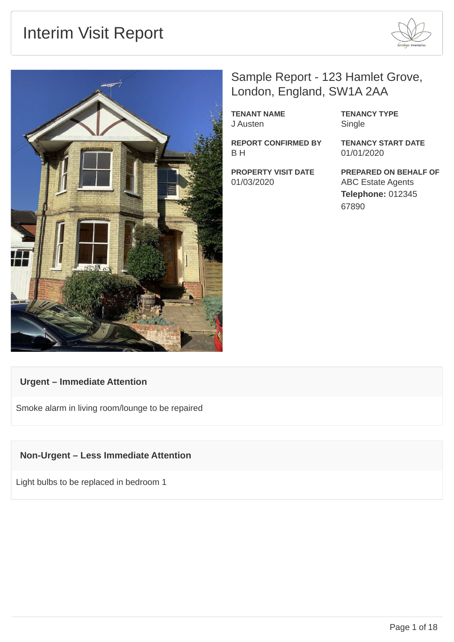## Interim Visit Report





## Sample Report - 123 Hamlet Grove, London, England, SW1A 2AA

**TENANT NAME** J Austen

**REPORT CONFIRMED BY** B H

**PROPERTY VISIT DATE** 01/03/2020

**TENANCY TYPE** Single

**TENANCY START DATE** 01/01/2020

**PREPARED ON BEHALF OF** ABC Estate Agents **Telephone:** 012345 67890

#### **Urgent – Immediate Attention**

Smoke alarm in living room/lounge to be repaired

#### **Non-Urgent – Less Immediate Attention**

Light bulbs to be replaced in bedroom 1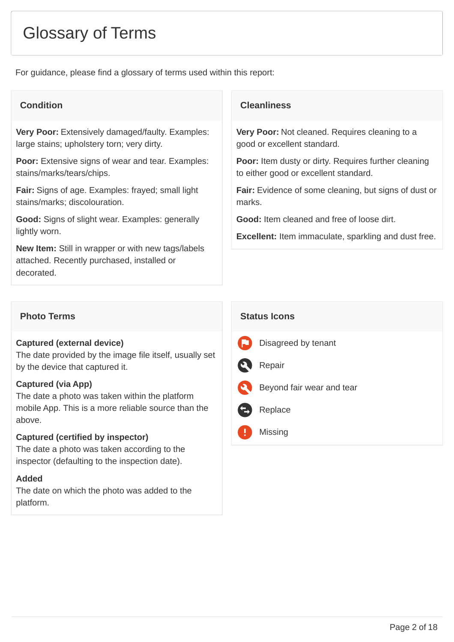## Glossary of Terms

For guidance, please find a glossary of terms used within this report:

**Very Poor:** Extensively damaged/faulty. Examples: large stains; upholstery torn; very dirty.

**Poor:** Extensive signs of wear and tear. Examples: stains/marks/tears/chips.

**Fair:** Signs of age. Examples: frayed; small light stains/marks; discolouration.

**Good:** Signs of slight wear. Examples: generally lightly worn.

**New Item:** Still in wrapper or with new tags/labels attached. Recently purchased, installed or decorated.

#### **Photo Terms Status Icons**

#### **Captured (external device)**

The date provided by the image file itself, usually set by the device that captured it.

#### **Captured (via App)**

The date a photo was taken within the platform mobile App. This is a more reliable source than the above.

#### **Captured (certified by inspector)**

The date a photo was taken according to the inspector (defaulting to the inspection date).

#### **Added**

The date on which the photo was added to the platform.

#### **Condition Condition**

**Very Poor:** Not cleaned. Requires cleaning to a good or excellent standard.

**Poor:** Item dusty or dirty. Requires further cleaning to either good or excellent standard.

**Fair:** Evidence of some cleaning, but signs of dust or marks.

**Good:** Item cleaned and free of loose dirt.

**Excellent:** Item immaculate, sparkling and dust free.

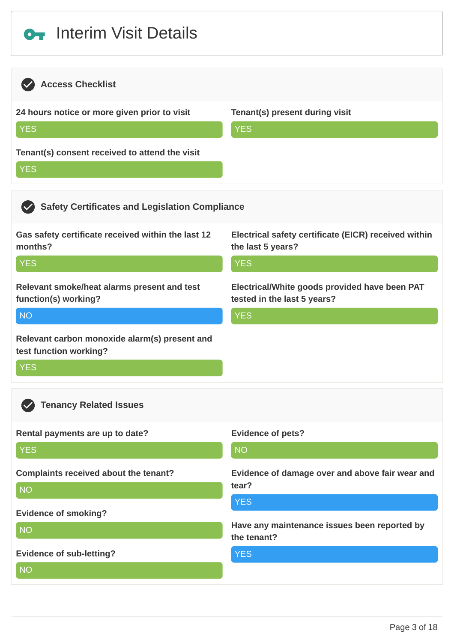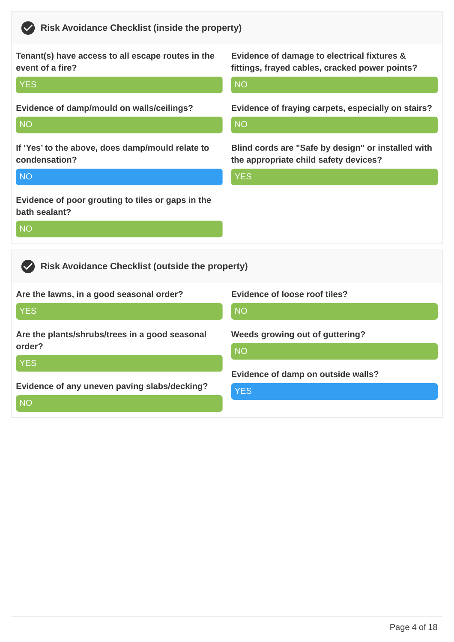| Tenant(s) have access to all escape routes in the                               | Evidence of damage to electrical fixtures &        |
|---------------------------------------------------------------------------------|----------------------------------------------------|
| event of a fire?                                                                | fittings, frayed cables, cracked power points?     |
| <b>YES</b>                                                                      | <b>NO</b>                                          |
| Evidence of damp/mould on walls/ceilings?                                       | Evidence of fraying carpets, especially on stairs? |
| <b>NO</b>                                                                       | <b>NO</b>                                          |
| If 'Yes' to the above, does damp/mould relate to                                | Blind cords are "Safe by design" or installed with |
| condensation?                                                                   | the appropriate child safety devices?              |
| <b>NO</b>                                                                       | <b>YES</b>                                         |
| Evidence of poor grouting to tiles or gaps in the<br>bath sealant?<br><b>NO</b> |                                                    |
| <b>Risk Avoidance Checklist (outside the property)</b>                          |                                                    |
| Are the lawns, in a good seasonal order?                                        | <b>Evidence of loose roof tiles?</b>               |
| <b>YES</b>                                                                      | <b>NO</b>                                          |
| Are the plants/shrubs/trees in a good seasonal                                  | Weeds growing out of guttering?                    |
| order?                                                                          | <b>NO</b>                                          |
| <b>YES</b><br>Evidence of any uneven paving slabs/decking?<br><b>NO</b>         | Evidence of damp on outside walls?<br><b>YES</b>   |

**Risk Avoidance Checklist (inside the property)**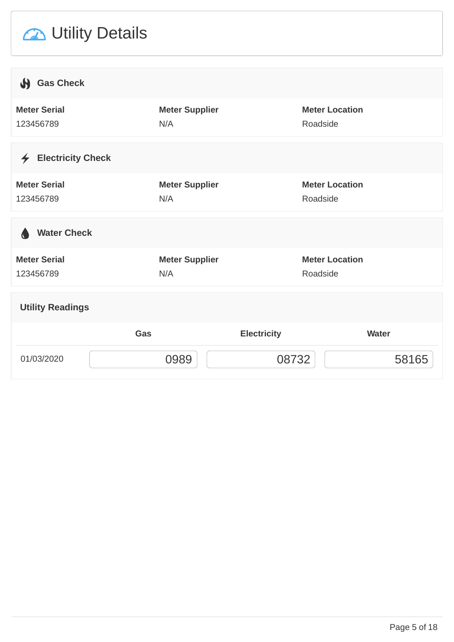# **2** Utility Details

| Sas Check                              |                       |                       |              |
|----------------------------------------|-----------------------|-----------------------|--------------|
| <b>Meter Serial</b>                    | <b>Meter Supplier</b> | <b>Meter Location</b> |              |
| 123456789                              | N/A                   | Roadside              |              |
|                                        |                       |                       |              |
| <b>Electricity Check</b><br>$\bigstar$ |                       |                       |              |
| <b>Meter Serial</b>                    | <b>Meter Supplier</b> | <b>Meter Location</b> |              |
| 123456789                              | N/A                   | Roadside              |              |
|                                        |                       |                       |              |
| <b>Water Check</b><br>a                |                       |                       |              |
| <b>Meter Serial</b>                    | <b>Meter Supplier</b> | <b>Meter Location</b> |              |
| 123456789                              | N/A                   | Roadside              |              |
|                                        |                       |                       |              |
| <b>Utility Readings</b>                |                       |                       |              |
|                                        | Gas                   | <b>Electricity</b>    | <b>Water</b> |
| 01/03/2020                             | 0989                  | 08732                 | 58165        |
|                                        |                       |                       |              |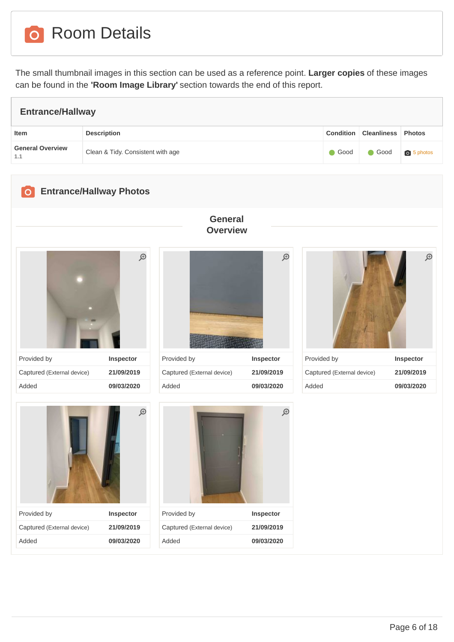**o** Room Details

The small thumbnail images in this section can be used as a reference point. **Larger copies** of these images can be found in the **'Room Image Library'** section towards the end of this report.

| <b>Entrance/Hallway</b>        |                                   |      |                              |                   |  |
|--------------------------------|-----------------------------------|------|------------------------------|-------------------|--|
| Item                           | <b>Description</b>                |      | Condition Cleanliness Photos |                   |  |
| <b>General Overview</b><br>1.1 | Clean & Tidy. Consistent with age | Good | $\bigcirc$ Good              | <b>b</b> 5 photos |  |
|                                |                                   |      |                              |                   |  |

#### **Entrance/Hallway Photos**

<span id="page-5-0"></span>











Added **09/03/2020**

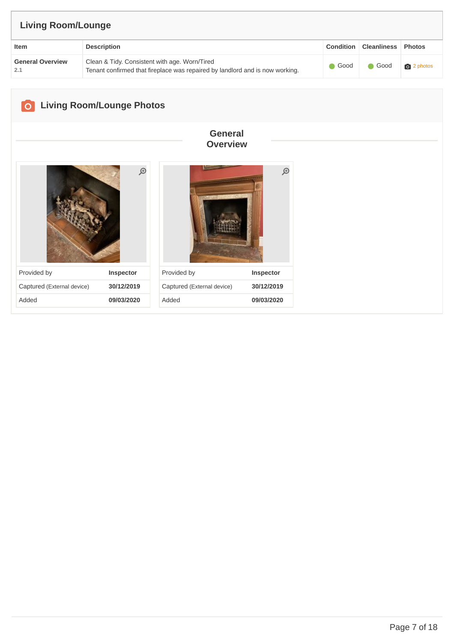| <b>Living Room/Lounge</b>      |                                                                                                                               |                 |                                  |                   |  |
|--------------------------------|-------------------------------------------------------------------------------------------------------------------------------|-----------------|----------------------------------|-------------------|--|
| Item                           | <b>Description</b>                                                                                                            |                 | <b>Condition   Cleanliness  </b> | <b>Photos</b>     |  |
| <b>General Overview</b><br>2.1 | Clean & Tidy. Consistent with age. Worn/Tired<br>Tenant confirmed that fireplace was repaired by landlord and is now working. | $\bigcirc$ Good | Good                             | <b>o</b> 2 photos |  |
|                                |                                                                                                                               |                 |                                  |                   |  |

<span id="page-6-0"></span>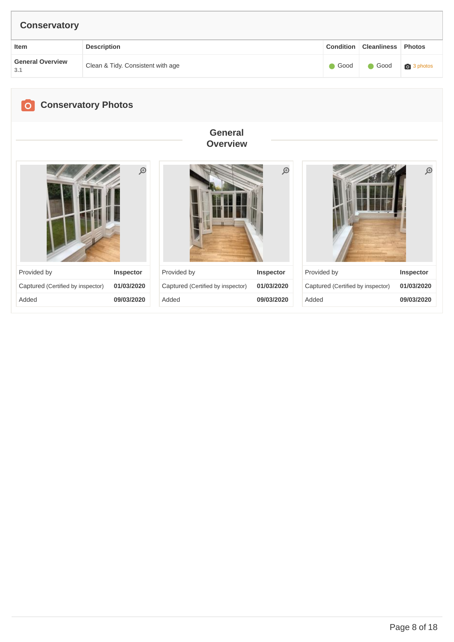<span id="page-7-0"></span>

| <b>Conservatory</b>            |                                   |             |                                   |               |                  |                    |               |
|--------------------------------|-----------------------------------|-------------|-----------------------------------|---------------|------------------|--------------------|---------------|
| Item                           | <b>Description</b>                |             |                                   |               | <b>Condition</b> | <b>Cleanliness</b> | <b>Photos</b> |
| <b>General Overview</b><br>3.1 | Clean & Tidy. Consistent with age |             |                                   |               | $\bullet$ Good   | Good               | 3 photos      |
| $\overline{O}$                 | <b>Conservatory Photos</b>        |             | <b>General</b><br><b>Overview</b> |               |                  |                    |               |
|                                | $\bigoplus$                       |             |                                   | $\mathcal{D}$ |                  |                    | $\mathcal{P}$ |
| Provided by                    | <b>Inspector</b>                  | Provided by | <b>Inspector</b>                  |               | Provided by      |                    | Inspector     |

| <b>FIUVIUCU DY</b>                | <b>IIISPECIUI</b> |
|-----------------------------------|-------------------|
| Captured (Certified by inspector) | 01/03/2020        |
| Added                             | 09/03/2020        |

| Provided by                       | <b>Inspector</b> |
|-----------------------------------|------------------|
| Captured (Certified by inspector) | 01/03/2020       |
| Added                             | 09/03/2020       |

| Provided by                       | <b>Inspector</b> |
|-----------------------------------|------------------|
| Captured (Certified by inspector) | 01/03/2020       |
| hebbA                             | 09/03/2020       |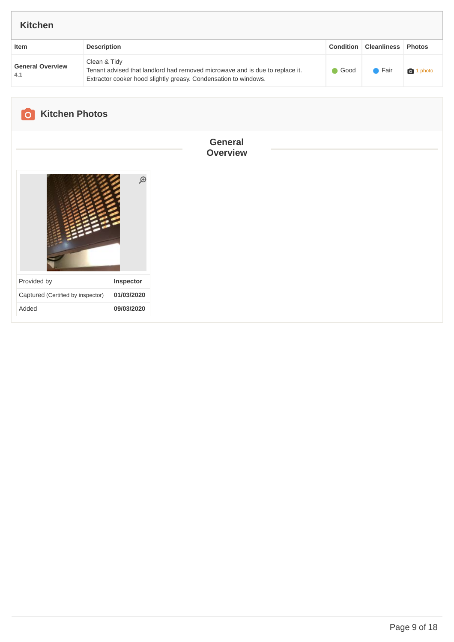<span id="page-8-0"></span>

| <b>Kitchen</b>                    |                                                                                                                                                                 |                                   |                  |                    |               |
|-----------------------------------|-----------------------------------------------------------------------------------------------------------------------------------------------------------------|-----------------------------------|------------------|--------------------|---------------|
| Item                              | <b>Description</b>                                                                                                                                              |                                   | <b>Condition</b> | <b>Cleanliness</b> | <b>Photos</b> |
| <b>General Overview</b><br>4.1    | Clean & Tidy<br>Tenant advised that landlord had removed microwave and is due to replace it.<br>Extractor cooker hood slightly greasy. Condensation to windows. |                                   |                  | $\bullet$ Fair     | 1 photo       |
| <b>Kitchen Photos</b>             |                                                                                                                                                                 |                                   |                  |                    |               |
|                                   |                                                                                                                                                                 | <b>General</b><br><b>Overview</b> |                  |                    |               |
|                                   | $\mathfrak{S}$                                                                                                                                                  |                                   |                  |                    |               |
| Provided by                       | Inspector                                                                                                                                                       |                                   |                  |                    |               |
| Captured (Certified by inspector) | 01/03/2020                                                                                                                                                      |                                   |                  |                    |               |
| Added                             | 09/03/2020                                                                                                                                                      |                                   |                  |                    |               |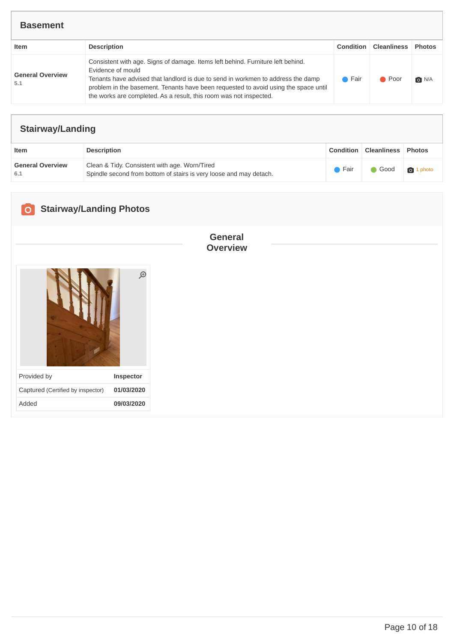#### **Basement**

| Item                           | <b>Description</b>                                                                                                                                                                                                                                                                                                                                    | <b>Condition</b> | <b>Cleanliness Photos</b> |       |
|--------------------------------|-------------------------------------------------------------------------------------------------------------------------------------------------------------------------------------------------------------------------------------------------------------------------------------------------------------------------------------------------------|------------------|---------------------------|-------|
| <b>General Overview</b><br>5.1 | Consistent with age. Signs of damage. Items left behind. Furniture left behind.<br>Evidence of mould<br>Tenants have advised that landlord is due to send in workmen to address the damp<br>problem in the basement. Tenants have been requested to avoid using the space until<br>the works are completed. As a result, this room was not inspected. | ● Fair           | ● Poor                    | O N/A |

| <b>Stairway/Landing</b>        |                                                                                                                     |        |                              |                  |
|--------------------------------|---------------------------------------------------------------------------------------------------------------------|--------|------------------------------|------------------|
| Item                           | <b>Description</b>                                                                                                  |        | <b>Condition Cleanliness</b> | <b>Photos</b>    |
| <b>General Overview</b><br>6.1 | Clean & Tidy. Consistent with age. Worn/Tired<br>Spindle second from bottom of stairs is very loose and may detach. | ● Fair | Good                         | <b>o</b> 1 photo |

<span id="page-9-0"></span>

| <b>Stairway/Landing Photos</b><br>$\circ$ |             |                                   |
|-------------------------------------------|-------------|-----------------------------------|
|                                           | $\bigoplus$ | <b>General</b><br><b>Overview</b> |
| Provided by                               | Inspector   |                                   |
| Captured (Certified by inspector)         | 01/03/2020  |                                   |
| Added                                     | 09/03/2020  |                                   |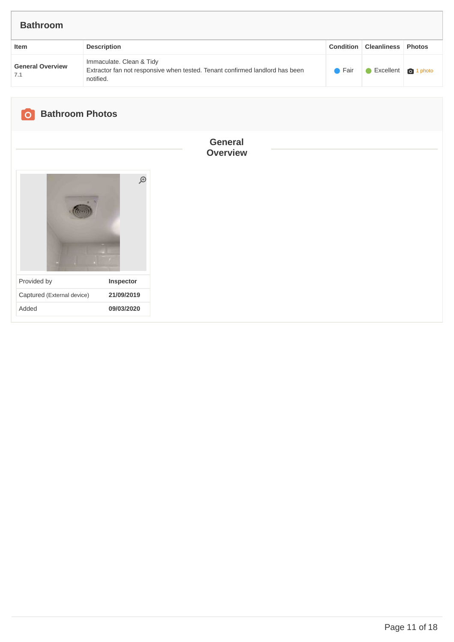| <b>Condition   Cleanliness   Photos</b><br><b>Description</b><br>Item<br>Immaculate. Clean & Tidy<br><b>General Overview</b><br>Extractor fan not responsive when tested. Tenant confirmed landlord has been<br>$\bullet$ Fair<br>Excellent 1 photo | <b>Bathroom</b> |  |  |
|-----------------------------------------------------------------------------------------------------------------------------------------------------------------------------------------------------------------------------------------------------|-----------------|--|--|
|                                                                                                                                                                                                                                                     |                 |  |  |
| notified.                                                                                                                                                                                                                                           | 7.1             |  |  |

<span id="page-10-0"></span>

| <b>Bathroom Photos</b><br>$\overline{\mathsf{O}}$ |               |                                   |  |
|---------------------------------------------------|---------------|-----------------------------------|--|
|                                                   | $\mathcal{D}$ | <b>General</b><br><b>Overview</b> |  |
|                                                   |               |                                   |  |
| Provided by                                       | Inspector     |                                   |  |
| Captured (External device)                        | 21/09/2019    |                                   |  |
| Added                                             | 09/03/2020    |                                   |  |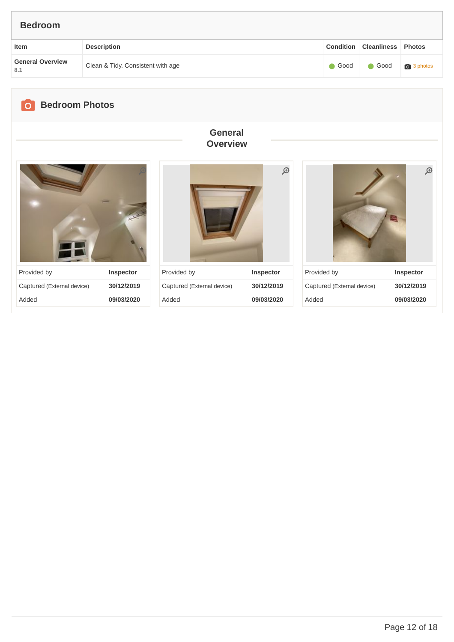<span id="page-11-0"></span>

| <b>Bedroom</b>                     |                                   |                                   |             |                   |                           |               |
|------------------------------------|-----------------------------------|-----------------------------------|-------------|-------------------|---------------------------|---------------|
| Item                               | <b>Description</b>                |                                   |             | Condition         | <b>Cleanliness</b> Photos |               |
| <b>General Overview</b><br>$8.1\,$ | Clean & Tidy. Consistent with age |                                   |             | Good<br>$\bullet$ | Good                      | 3 photos      |
|                                    |                                   |                                   |             |                   |                           |               |
| <b>Bedroom Photos</b><br>$\circ$   |                                   |                                   |             |                   |                           |               |
|                                    |                                   | <b>General</b><br><b>Overview</b> |             |                   |                           |               |
|                                    |                                   |                                   |             |                   |                           |               |
|                                    |                                   |                                   | $\bigoplus$ |                   |                           | $\mathcal{P}$ |

Provided by **Inspector** Captured (External device) **30/12/2019** Added **09/03/2020**

Provided by **Inspector** Captured (External device) **30/12/2019** Added **09/03/2020** Provided by **Inspector** Captured (External device) **30/12/2019** Added **09/03/2020**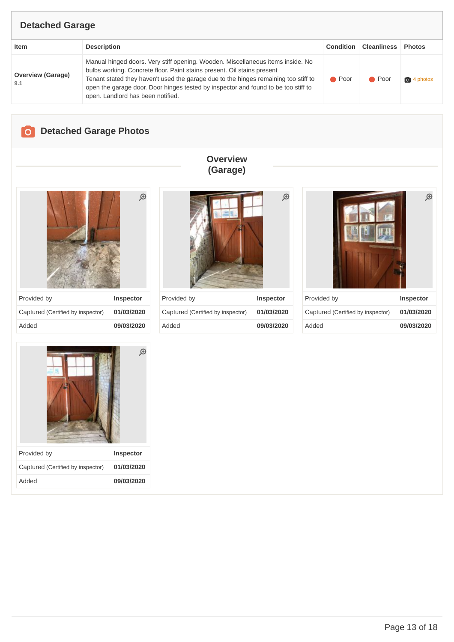#### **Detached Garage**

| Item                            | <b>Description</b>                                                                                                                                                                                                                                                                                                                                                           | Condition      | <b>Cleanliness</b> | <b>Photos</b>       |
|---------------------------------|------------------------------------------------------------------------------------------------------------------------------------------------------------------------------------------------------------------------------------------------------------------------------------------------------------------------------------------------------------------------------|----------------|--------------------|---------------------|
| <b>Overview (Garage)</b><br>9.1 | Manual hinged doors. Very stiff opening. Wooden. Miscellaneous items inside. No<br>bulbs working. Concrete floor. Paint stains present. Oil stains present<br>Tenant stated they haven't used the garage due to the hinges remaining too stiff to<br>open the garage door. Door hinges tested by inspector and found to be too stiff to<br>open. Landlord has been notified. | $\bullet$ Poor | $\bullet$ Poor     | $\bigcirc$ 4 photos |

### <span id="page-12-0"></span>**Detached Garage Photos**

# $\bigoplus$

| Provided by                       | <b>Inspector</b> |
|-----------------------------------|------------------|
| Captured (Certified by inspector) | 01/03/2020       |
| Added                             | 09/03/2020       |



**Overview (Garage)**

| Provided by                       | <b>Inspector</b> |
|-----------------------------------|------------------|
| Captured (Certified by inspector) | 01/03/2020       |
| Added                             | 09/03/2020       |



| Provided by                       | Inspector  |
|-----------------------------------|------------|
| Captured (Certified by inspector) | 01/03/2020 |
| hebbA                             | 09/03/2020 |



Page 13 of 18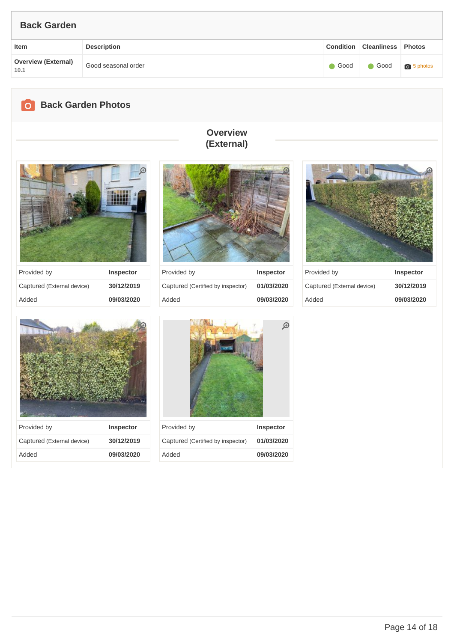## **Item Description Condition Cleanliness Photos Overview (External) 10.1** Good seasonal order Good Good Good 5 [photos](#page-13-0) **Back Garden**

<span id="page-13-0"></span>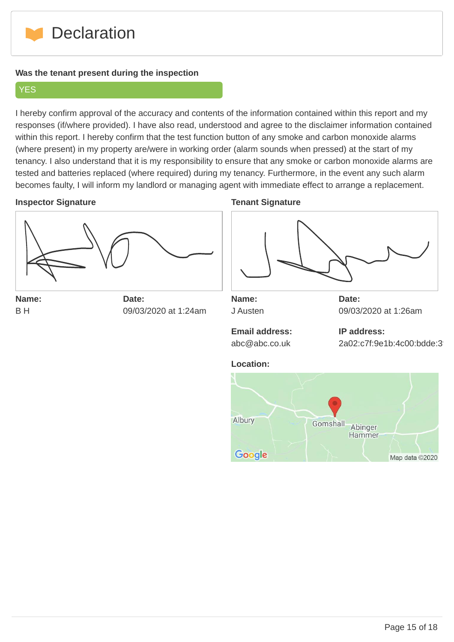

#### **Was the tenant present during the inspection**

#### **YES**

I hereby confirm approval of the accuracy and contents of the information contained within this report and my responses (if/where provided). I have also read, understood and agree to the disclaimer information contained within this report. I hereby confirm that the test function button of any smoke and carbon monoxide alarms (where present) in my property are/were in working order (alarm sounds when pressed) at the start of my tenancy. I also understand that it is my responsibility to ensure that any smoke or carbon monoxide alarms are tested and batteries replaced (where required) during my tenancy. Furthermore, in the event any such alarm becomes faulty, I will inform my landlord or managing agent with immediate effect to arrange a replacement.

#### **Inspector Signature**



**Name:** B H

**Date:** 09/03/2020 at 1:24am

#### **Tenant Signature**



**Name:** J Austen **Date:** 09/03/2020 at 1:26am

**Email address:** abc@abc.co.uk

**IP address:** 2a02:c7f:9e1b:4c00:bdde:3

#### **Location:**

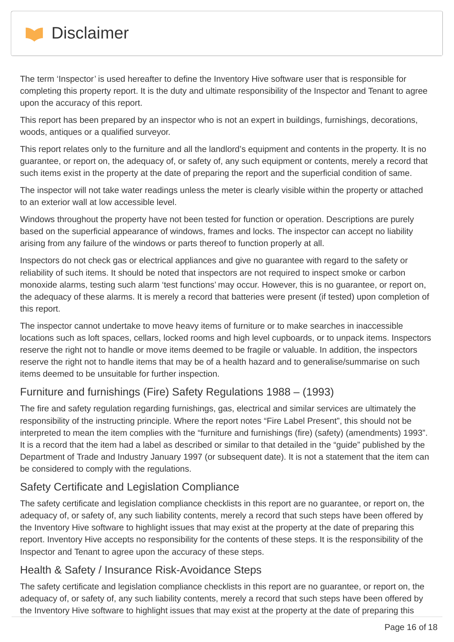

The term 'Inspector' is used hereafter to define the Inventory Hive software user that is responsible for completing this property report. It is the duty and ultimate responsibility of the Inspector and Tenant to agree upon the accuracy of this report.

This report has been prepared by an inspector who is not an expert in buildings, furnishings, decorations, woods, antiques or a qualified surveyor.

This report relates only to the furniture and all the landlord's equipment and contents in the property. It is no guarantee, or report on, the adequacy of, or safety of, any such equipment or contents, merely a record that such items exist in the property at the date of preparing the report and the superficial condition of same.

The inspector will not take water readings unless the meter is clearly visible within the property or attached to an exterior wall at low accessible level.

Windows throughout the property have not been tested for function or operation. Descriptions are purely based on the superficial appearance of windows, frames and locks. The inspector can accept no liability arising from any failure of the windows or parts thereof to function properly at all.

Inspectors do not check gas or electrical appliances and give no guarantee with regard to the safety or reliability of such items. It should be noted that inspectors are not required to inspect smoke or carbon monoxide alarms, testing such alarm 'test functions' may occur. However, this is no guarantee, or report on, the adequacy of these alarms. It is merely a record that batteries were present (if tested) upon completion of this report.

The inspector cannot undertake to move heavy items of furniture or to make searches in inaccessible locations such as loft spaces, cellars, locked rooms and high level cupboards, or to unpack items. Inspectors reserve the right not to handle or move items deemed to be fragile or valuable. In addition, the inspectors reserve the right not to handle items that may be of a health hazard and to generalise/summarise on such items deemed to be unsuitable for further inspection.

### Furniture and furnishings (Fire) Safety Regulations 1988 – (1993)

The fire and safety regulation regarding furnishings, gas, electrical and similar services are ultimately the responsibility of the instructing principle. Where the report notes "Fire Label Present", this should not be interpreted to mean the item complies with the "furniture and furnishings (fire) (safety) (amendments) 1993". It is a record that the item had a label as described or similar to that detailed in the "guide" published by the Department of Trade and Industry January 1997 (or subsequent date). It is not a statement that the item can be considered to comply with the regulations.

#### Safety Certificate and Legislation Compliance

The safety certificate and legislation compliance checklists in this report are no guarantee, or report on, the adequacy of, or safety of, any such liability contents, merely a record that such steps have been offered by the Inventory Hive software to highlight issues that may exist at the property at the date of preparing this report. Inventory Hive accepts no responsibility for the contents of these steps. It is the responsibility of the Inspector and Tenant to agree upon the accuracy of these steps.

#### Health & Safety / Insurance Risk-Avoidance Steps

The safety certificate and legislation compliance checklists in this report are no guarantee, or report on, the adequacy of, or safety of, any such liability contents, merely a record that such steps have been offered by the Inventory Hive software to highlight issues that may exist at the property at the date of preparing this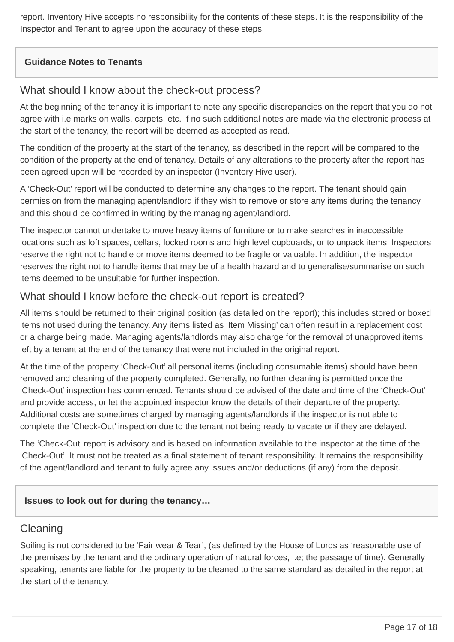report. Inventory Hive accepts no responsibility for the contents of these steps. It is the responsibility of the Inspector and Tenant to agree upon the accuracy of these steps.

#### **Guidance Notes to Tenants**

#### What should I know about the check-out process?

At the beginning of the tenancy it is important to note any specific discrepancies on the report that you do not agree with i.e marks on walls, carpets, etc. If no such additional notes are made via the electronic process at the start of the tenancy, the report will be deemed as accepted as read.

The condition of the property at the start of the tenancy, as described in the report will be compared to the condition of the property at the end of tenancy. Details of any alterations to the property after the report has been agreed upon will be recorded by an inspector (Inventory Hive user).

A 'Check-Out' report will be conducted to determine any changes to the report. The tenant should gain permission from the managing agent/landlord if they wish to remove or store any items during the tenancy and this should be confirmed in writing by the managing agent/landlord.

The inspector cannot undertake to move heavy items of furniture or to make searches in inaccessible locations such as loft spaces, cellars, locked rooms and high level cupboards, or to unpack items. Inspectors reserve the right not to handle or move items deemed to be fragile or valuable. In addition, the inspector reserves the right not to handle items that may be of a health hazard and to generalise/summarise on such items deemed to be unsuitable for further inspection.

#### What should I know before the check-out report is created?

All items should be returned to their original position (as detailed on the report); this includes stored or boxed items not used during the tenancy. Any items listed as 'Item Missing' can often result in a replacement cost or a charge being made. Managing agents/landlords may also charge for the removal of unapproved items left by a tenant at the end of the tenancy that were not included in the original report.

At the time of the property 'Check-Out' all personal items (including consumable items) should have been removed and cleaning of the property completed. Generally, no further cleaning is permitted once the 'Check-Out' inspection has commenced. Tenants should be advised of the date and time of the 'Check-Out' and provide access, or let the appointed inspector know the details of their departure of the property. Additional costs are sometimes charged by managing agents/landlords if the inspector is not able to complete the 'Check-Out' inspection due to the tenant not being ready to vacate or if they are delayed.

The 'Check-Out' report is advisory and is based on information available to the inspector at the time of the 'Check-Out'. It must not be treated as a final statement of tenant responsibility. It remains the responsibility of the agent/landlord and tenant to fully agree any issues and/or deductions (if any) from the deposit.

#### **Issues to look out for during the tenancy…**

#### Cleaning

Soiling is not considered to be 'Fair wear & Tear', (as defined by the House of Lords as 'reasonable use of the premises by the tenant and the ordinary operation of natural forces, i.e; the passage of time). Generally speaking, tenants are liable for the property to be cleaned to the same standard as detailed in the report at the start of the tenancy.